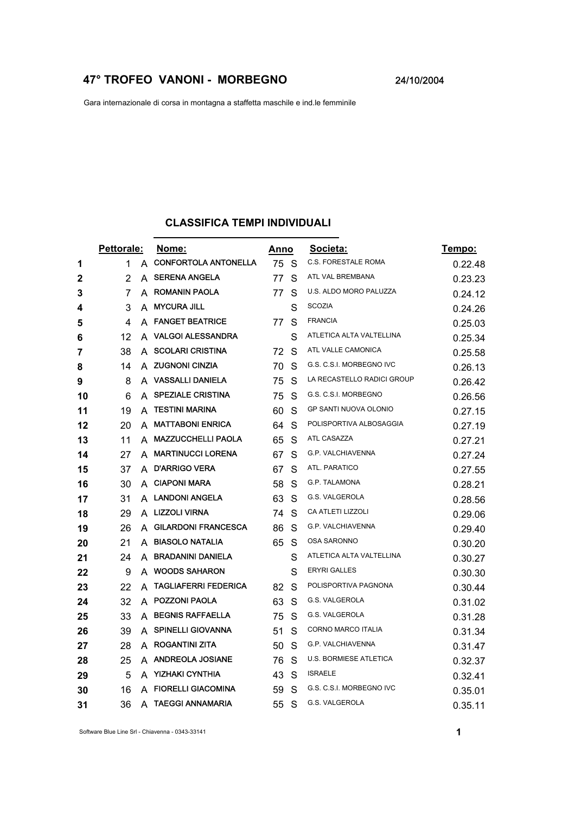## **47° TROFEO VANONI - MORBEGNO** 24/10/2004

Gara internazionale di corsa in montagna a staffetta maschile e ind.le femminile

## **CLASSIFICA TEMPI INDIVIDUALI**

|    | Pettorale: |   | Nome:                       | Anno |    | Societa:                     | <u>Tempo:</u> |
|----|------------|---|-----------------------------|------|----|------------------------------|---------------|
| 1  | 1          | A | <b>CONFORTOLA ANTONELLA</b> | 75   | -S | <b>C.S. FORESTALE ROMA</b>   | 0.22.48       |
| 2  | 2          | A | <b>SERENA ANGELA</b>        | 77   | S  | ATL VAL BREMBANA             | 0.23.23       |
| 3  | 7          | A | ROMANIN PAOLA               | 77   | S  | U.S. ALDO MORO PALUZZA       | 0.24.12       |
| 4  | 3          | A | <b>MYCURA JILL</b>          |      | S  | <b>SCOZIA</b>                | 0.24.26       |
| 5  | 4          | A | <b>FANGET BEATRICE</b>      | 77   | S  | <b>FRANCIA</b>               | 0.25.03       |
| 6  | 12         | A | <b>VALGOI ALESSANDRA</b>    |      | S  | ATLETICA ALTA VALTELLINA     | 0.25.34       |
| 7  | 38         | A | <b>SCOLARI CRISTINA</b>     | 72   | S  | ATL VALLE CAMONICA           | 0.25.58       |
| 8  | 14         | A | <b>ZUGNONI CINZIA</b>       | 70   | S  | G.S. C.S.I. MORBEGNO IVC     | 0.26.13       |
| 9  | 8          | A | <b>VASSALLI DANIELA</b>     | 75   | S  | LA RECASTELLO RADICI GROUP   | 0.26.42       |
| 10 | 6          | A | <b>SPEZIALE CRISTINA</b>    | 75   | S  | G.S. C.S.I. MORBEGNO         | 0.26.56       |
| 11 | 19         | A | <b>TESTINI MARINA</b>       | 60   | S  | <b>GP SANTI NUOVA OLONIO</b> | 0.27.15       |
| 12 | 20         | A | <b>MATTABONI ENRICA</b>     | 64   | S  | POLISPORTIVA ALBOSAGGIA      | 0.27.19       |
| 13 | 11         | A | <b>MAZZUCCHELLI PAOLA</b>   | 65   | S  | ATL CASAZZA                  | 0.27.21       |
| 14 | 27         | A | <b>MARTINUCCI LORENA</b>    | 67   | S  | G.P. VALCHIAVENNA            | 0.27.24       |
| 15 | 37         | A | <b>D'ARRIGO VERA</b>        | 67   | S  | ATL. PARATICO                | 0.27.55       |
| 16 | 30         | A | <b>CIAPONI MARA</b>         | 58   | S  | G.P. TALAMONA                | 0.28.21       |
| 17 | 31         |   | A LANDONI ANGELA            | 63   | S  | G.S. VALGEROLA               | 0.28.56       |
| 18 | 29         |   | A LIZZOLI VIRNA             | 74   | S  | CA ATLETI LIZZOLI            | 0.29.06       |
| 19 | 26         | A | <b>GILARDONI FRANCESCA</b>  | 86   | S  | G.P. VALCHIAVENNA            | 0.29.40       |
| 20 | 21         | A | <b>BIASOLO NATALIA</b>      | 65   | S  | OSA SARONNO                  | 0.30.20       |
| 21 | 24         | A | <b>BRADANINI DANIELA</b>    |      | S  | ATLETICA ALTA VALTELLINA     | 0.30.27       |
| 22 | 9          | A | <b>WOODS SAHARON</b>        |      | S  | <b>ERYRI GALLES</b>          | 0.30.30       |
| 23 | 22         | A | <b>TAGLIAFERRI FEDERICA</b> | 82   | S  | POLISPORTIVA PAGNONA         | 0.30.44       |
| 24 | 32         | A | <b>POZZONI PAOLA</b>        | 63   | S  | G.S. VALGEROLA               | 0.31.02       |
| 25 | 33         | A | <b>BEGNIS RAFFAELLA</b>     | 75   | S  | G.S. VALGEROLA               | 0.31.28       |
| 26 | 39         | A | <b>SPINELLI GIOVANNA</b>    | 51   | S  | CORNO MARCO ITALIA           | 0.31.34       |
| 27 | 28         | A | <b>ROGANTINI ZITA</b>       | 50   | S  | G.P. VALCHIAVENNA            | 0.31.47       |
| 28 | 25         |   | A ANDREOLA JOSIANE          | 76   | S  | U.S. BORMIESE ATLETICA       | 0.32.37       |
| 29 | 5          | A | <b>YIZHAKI CYNTHIA</b>      | 43   | S  | <b>ISRAELE</b>               | 0.32.41       |
| 30 | 16         | A | <b>FIORELLI GIACOMINA</b>   | 59   | S  | G.S. C.S.I. MORBEGNO IVC     | 0.35.01       |
| 31 | 36         | A | <b>TAEGGI ANNAMARIA</b>     | 55   | S  | G.S. VALGEROLA               | 0.35.11       |